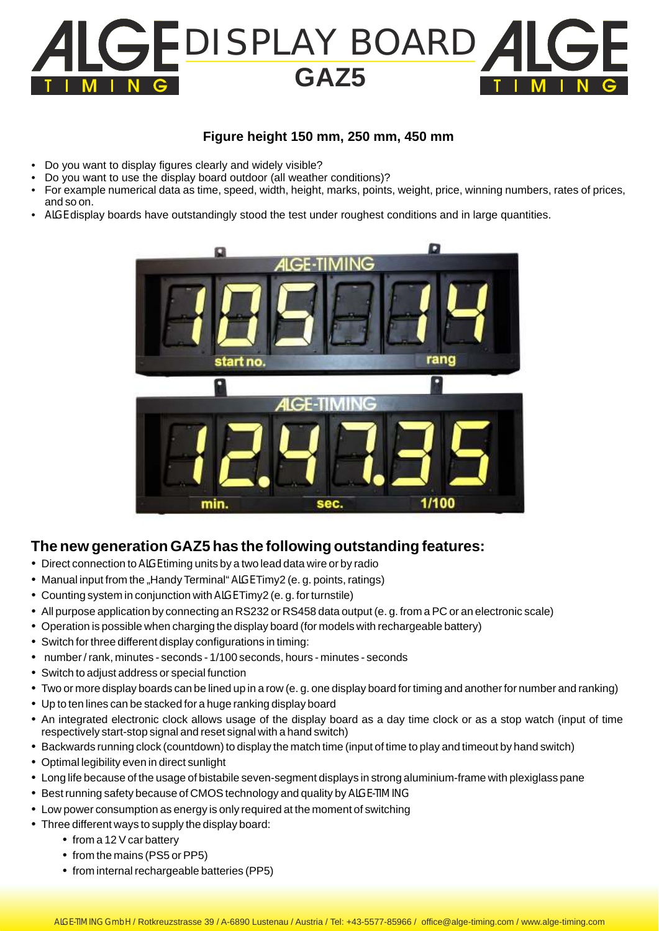

## **Figure height 150 mm, 250 mm, 450 mm**

- Do you want to display figures clearly and widely visible?
- Do you want to use the display board outdoor (all weather conditions)?
- For example numerical data as time, speed, width, height, marks, points, weight, price, winning numbers, rates of prices, and so on.
- ALGE display boards have outstandingly stood the test under roughest conditions and in large quantities.



## **The new generation GAZ5 has the following outstanding features:**

- Direct connection to ALGE timing units by a two lead data wire or by radio
- Manual input from the "Handy Terminal" ALGE Timy2 (e. g. points, ratings)
- Counting system in conjunction with ALGE Timy2 (e. g. for turnstile)
- All purpose application by connecting an RS232 or RS458 data output (e. g. from a PC or an electronic scale)
- Operation is possible when charging the display board (for models with rechargeable battery)
- Switch for three different display configurations in timing:
- number / rank, minutes seconds 1/100 seconds, hours minutes seconds
- Switch to adjust address or special function
- Two or more display boards can be lined up in a row (e. g. one display board for timing and another for number and ranking)
- Up to ten lines can be stacked for a huge ranking display board
- An integrated electronic clock allows usage of the display board as a day time clock or as a stop watch (input of time respectively start-stop signal and reset signal with a hand switch)
- Backwards running clock (countdown) to display the match time (input of time to play and timeout by hand switch)
- Optimal legibility even in direct sunlight
- Long life because of the usage of bistabile seven-segment displays in strong aluminium-frame with plexiglass pane
- Best running safety because of CMOS technology and quality by ALGE-TIMING
- Low power consumption as energy is only required at the moment of switching
- Three different ways to supply the display board:
	- $\bullet$  from a 12 V car battery
	- from the mains (PS5 or PP5)
	- from internal rechargeable batteries (PP5)